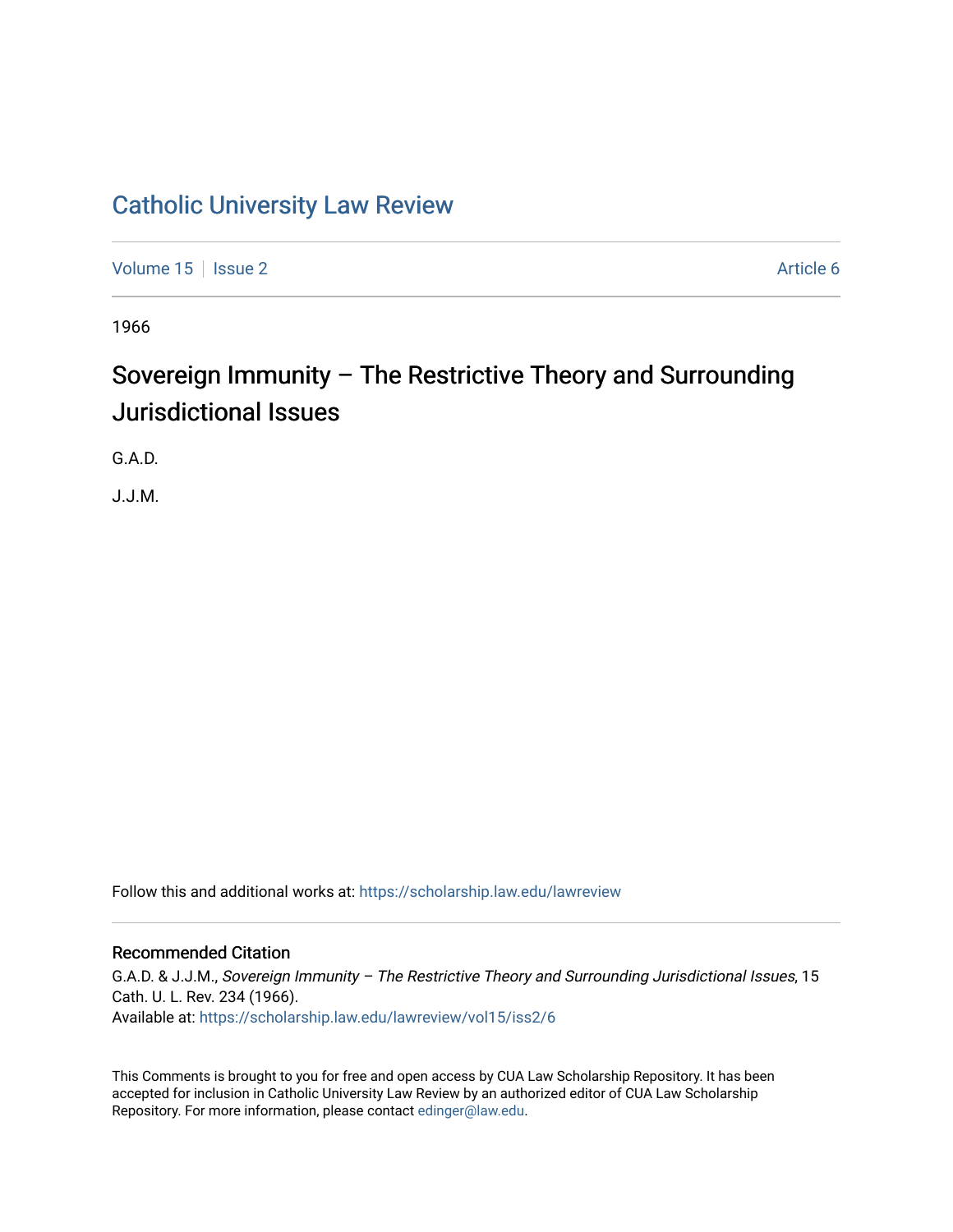## [Catholic University Law Review](https://scholarship.law.edu/lawreview)

[Volume 15](https://scholarship.law.edu/lawreview/vol15) | [Issue 2](https://scholarship.law.edu/lawreview/vol15/iss2) Article 6

1966

# Sovereign Immunity – The Restrictive Theory and Surrounding Jurisdictional Issues

G.A.D.

J.J.M.

Follow this and additional works at: [https://scholarship.law.edu/lawreview](https://scholarship.law.edu/lawreview?utm_source=scholarship.law.edu%2Flawreview%2Fvol15%2Fiss2%2F6&utm_medium=PDF&utm_campaign=PDFCoverPages)

### Recommended Citation

G.A.D. & J.J.M., Sovereign Immunity – The Restrictive Theory and Surrounding Jurisdictional Issues, 15 Cath. U. L. Rev. 234 (1966). Available at: [https://scholarship.law.edu/lawreview/vol15/iss2/6](https://scholarship.law.edu/lawreview/vol15/iss2/6?utm_source=scholarship.law.edu%2Flawreview%2Fvol15%2Fiss2%2F6&utm_medium=PDF&utm_campaign=PDFCoverPages)

This Comments is brought to you for free and open access by CUA Law Scholarship Repository. It has been accepted for inclusion in Catholic University Law Review by an authorized editor of CUA Law Scholarship Repository. For more information, please contact [edinger@law.edu.](mailto:edinger@law.edu)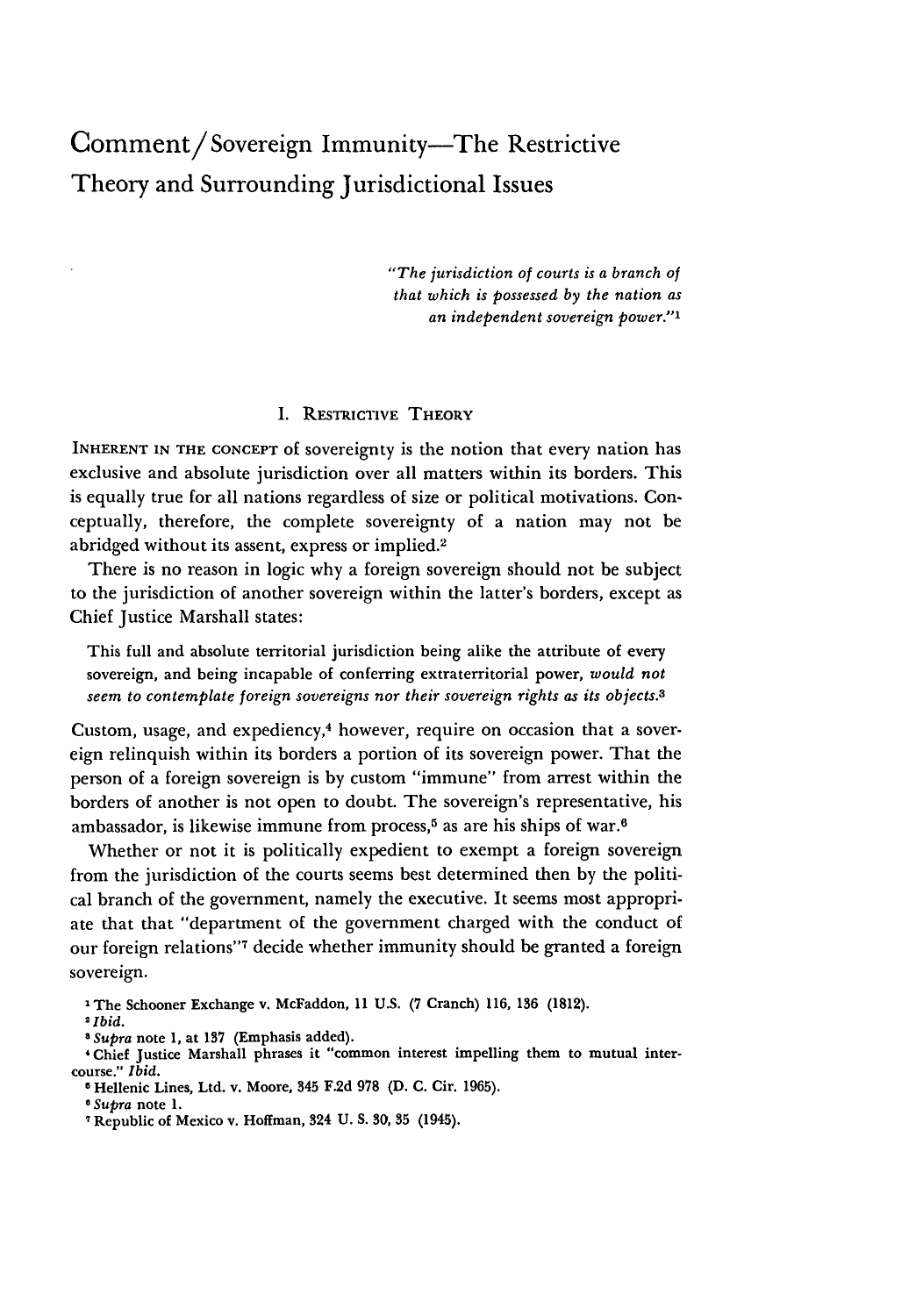## Comment/Sovereign Immunity-The Restrictive Theory and Surrounding Jurisdictional Issues

*"The jurisdiction of courts is a branch of that which is possessed by the nation as an independent sovereign power."'*

#### **I. RESTRICTIVE** THEORY

INHERENT **IN THE CONCEPT** Of sovereignty is the notion that every nation has exclusive and absolute jurisdiction over all matters within its borders. This is equally true for all nations regardless of size or political motivations. Conceptually, therefore, the complete sovereignty of a nation may not be abridged without its assent, express or implied.<sup>2</sup>

There is no reason in logic why a foreign sovereign should not be subject to the jurisdiction of another sovereign within the latter's borders, except as Chief Justice Marshall states:

This full and absolute territorial jurisdiction being alike the attribute of every sovereign, and being incapable of conferring extraterritorial power, *would not seem to contemplate foreign sovereigns nor their sovereign rights as its objects.3*

Custom, usage, and expediency, $4$  however, require on occasion that a sovereign relinquish within its borders a portion of its sovereign power. That the person of a foreign sovereign is by custom "immune" from arrest within the borders of another is not open to doubt. The sovereign's representative, his ambassador, is likewise immune from process,<sup>5</sup> as are his ships of war.<sup>6</sup>

Whether or not it is politically expedient to exempt a foreign sovereign from the jurisdiction of the courts seems best determined then by the political branch of the government, namely the executive. It seems most appropriate that that "department of the government charged with the conduct of our foreign relations"7 decide whether immunity should be granted a foreign sovereign.

**IThe Schooner Exchange v. McFaddon, 11 U.S. (7 Cranch) 116, 136 (1812).**

*<sup>2</sup>Ibid.*

*a Supra* **note 1, at 137 (Emphasis added).**

**<sup>&#</sup>x27; Chief Justice Marshall phrases it "common interest impelling them to mutual intercourse."** *Ibid.*

**<sup>5</sup> Hellenic Lines, Ltd. v. Moore, 345 F.2d 978 (D. C. Cir. 1965).**

*e Supra* **note 1.**

**Republic of Mexico v. Hoffman, 324 U. S. 30, 35 (1945).**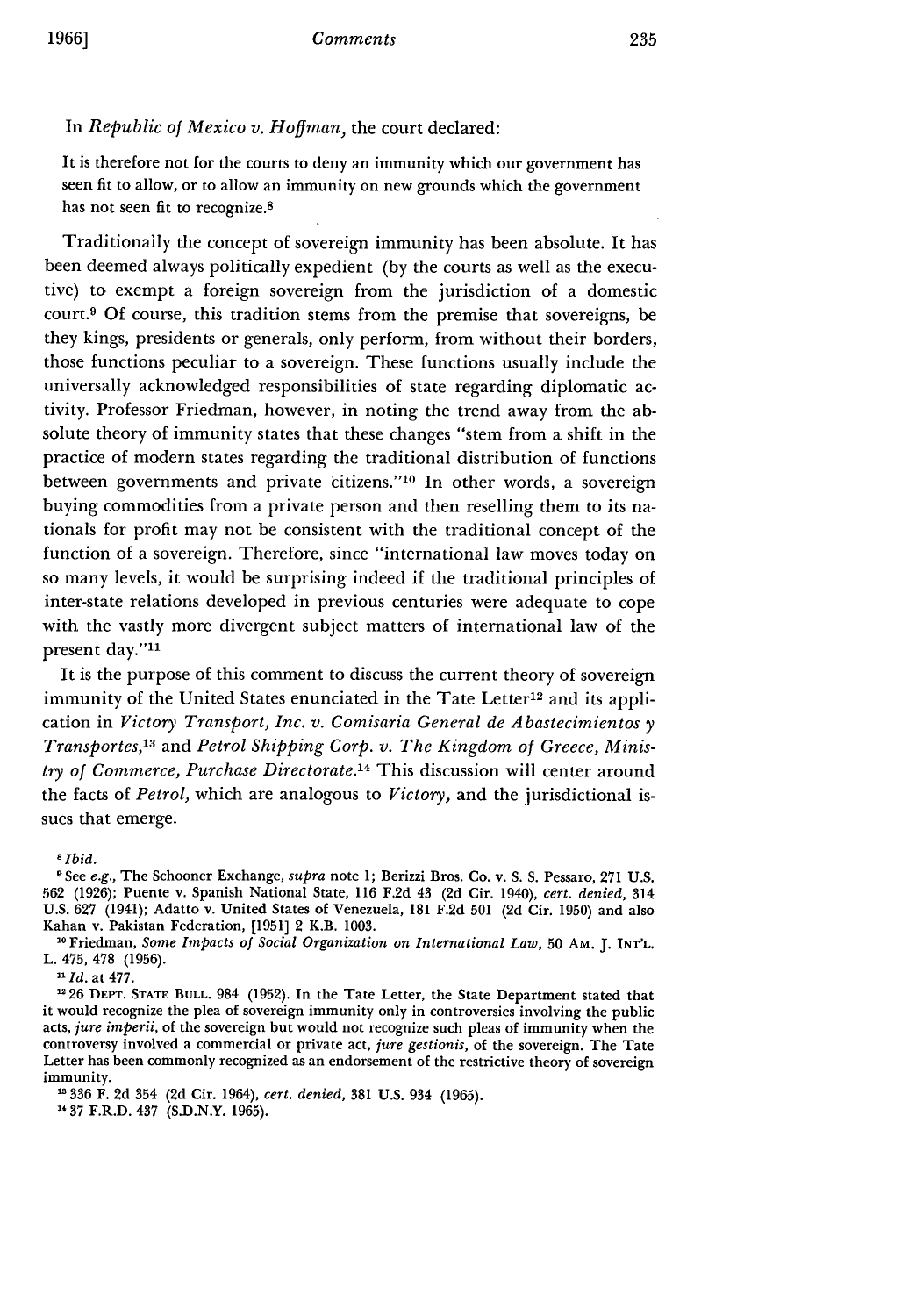It is therefore not for the courts to deny an immunity which our government has seen fit to allow, or to allow an immunity on new grounds which the government has not seen fit to recognize.8

Traditionally the concept of sovereign immunity has been absolute. It has been deemed always politically expedient (by the courts as well as the executive) to exempt a foreign sovereign from the jurisdiction of a domestic court.9 Of course, this tradition stems from the premise that sovereigns, be they kings, presidents or generals, only perform, from without their borders, those functions peculiar to a sovereign. These functions usually include the universally acknowledged responsibilities of state regarding diplomatic activity. Professor Friedman, however, in noting the trend away from the absolute theory of immunity states that these changes "stem from a shift in the practice of modern states regarding the traditional distribution of functions between governments and private citizens."'10 In other words, a sovereign buying commodities from a private person and then reselling them to its nationals for profit may not be consistent with the traditional concept of the function of a sovereign. Therefore, since "international law moves today on so many levels, it would be surprising indeed if the traditional principles of inter-state relations developed in previous centuries were adequate to cope with the vastly more divergent subject matters of international law of the present day."<sup>11</sup>

It is the purpose of this comment to discuss the current theory of sovereign immunity of the United States enunciated in the Tate Letter<sup>12</sup> and its application in *Victory Transport, Inc. v. Comisaria General de A bastecimientos y Transportes,'3* and *Petrol Shipping Corp. v. The Kingdom of Greece, Ministry of Commerce, Purchase Directorate.'4* This discussion will center around the facts of *Petrol,* which are analogous to *Victory,* and the jurisdictional issues that emerge.

*<sup>8</sup> ibid.*

*"Id.* at 477.

26 DEPT. **STATE BULL.** 984 (1952). In the Tate Letter, the State Department stated that it would recognize the plea of sovereign immunity only in controversies involving the public acts, *jure imperii,* of the sovereign but would not recognize such pleas of immunity when the controversy involved a commercial or private act, *jure gestionis,* of the sovereign. The Tate Letter has been commonly recognized as an endorsement of the restrictive theory of sovereign immunity.

**336** F. 2d 354 (2d Cir. 1964), *cert. denied,* **381** U.S. 934 (1965).

<sup>14</sup> 37 F.R.D. 437 (S.D.N.Y. 1965).

**<sup>0</sup>** See *e.g.,* The Schooner Exchange, *supra* note 1; Berizzi Bros. Co. v. S. S. Pessaro, 271 U.S. 562 (1926); Puente v. Spanish National State, 116 F.2d 43 (2d Cir. 1940), *cert. denied,* 314 U.S. 627 (1941); Adatto v. United States of Venezuela, 181 F.2d 501 (2d Cir. 1950) and also Kahan v. Pakistan Federation, [1951] 2 K.B. **1003.**

<sup>10</sup> Friedman, *Some Impacts of Social Organization on International Law,* 50 **AM.** J. INT'L. L. 475, 478 (1956).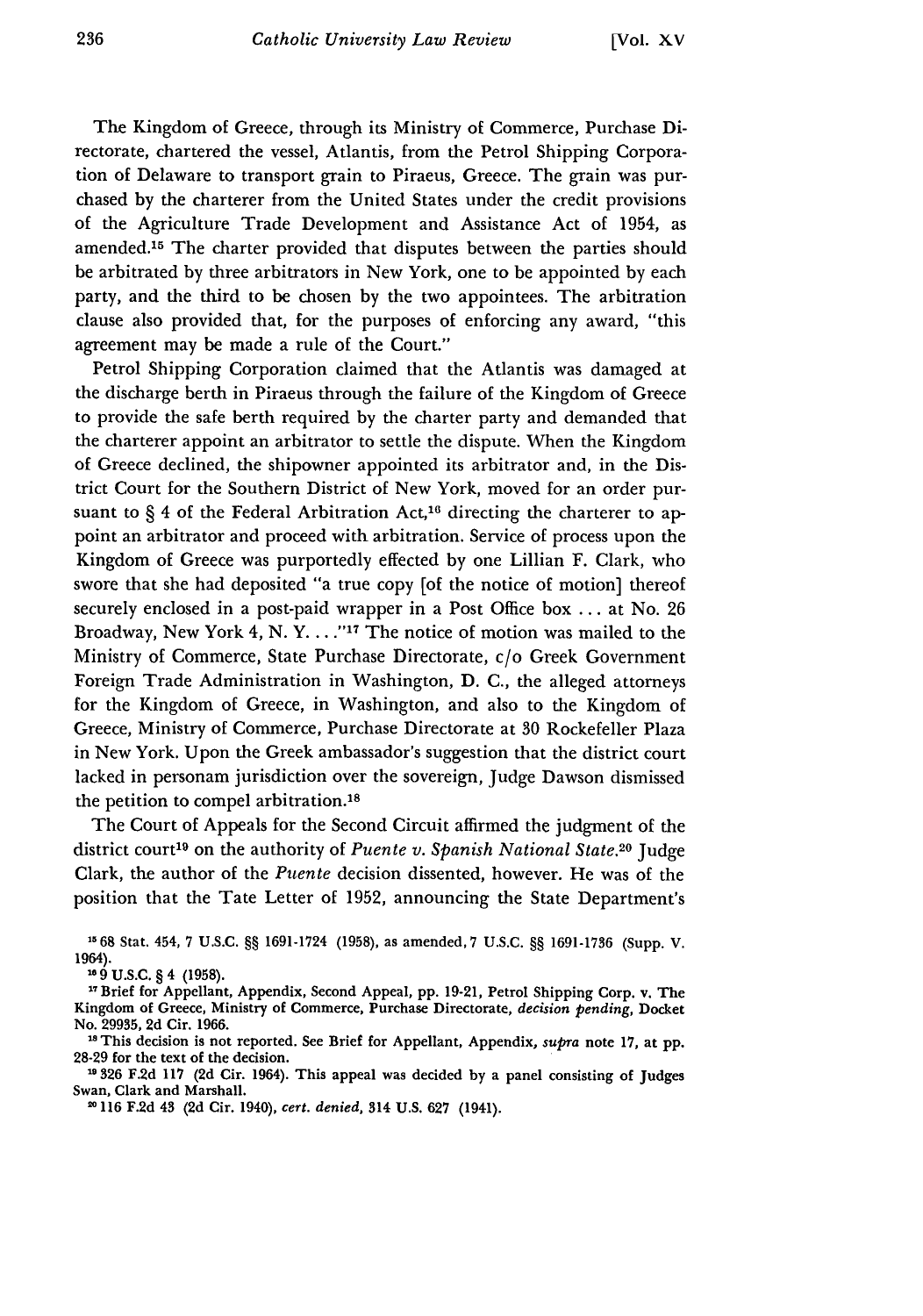The Kingdom of Greece, through its Ministry of Commerce, Purchase Directorate, chartered the vessel, Atlantis, from the Petrol Shipping Corporation of Delaware to transport grain to Piraeus, Greece. The grain was purchased by the charterer from the United States under the credit provisions of the Agriculture Trade Development and Assistance Act of 1954, as amended.<sup>15</sup> The charter provided that disputes between the parties should be arbitrated by three arbitrators in New York, one to be appointed by each party, and the third to be chosen by the two appointees. The arbitration clause also provided that, for the purposes of enforcing any award, "this agreement may be made a rule of the Court."

Petrol Shipping Corporation claimed that the Atlantis was damaged at the discharge berth in Piraeus through the failure of the Kingdom of Greece to provide the safe berth required by the charter party and demanded that the charterer appoint an arbitrator to settle the dispute. When the Kingdom of Greece declined, the shipowner appointed its arbitrator and, in the District Court for the Southern District of New York, moved for an order pursuant to  $\S 4$  of the Federal Arbitration Act,<sup>16</sup> directing the charterer to appoint an arbitrator and proceed with arbitration. Service of process upon the Kingdom of Greece was purportedly effected by one Lillian F. Clark, who swore that she had deposited "a true copy [of the notice of motion] thereof securely enclosed in a post-paid wrapper in a Post Office box ... at No. 26 Broadway, New York 4, N.Y. . . . . "<sup>17</sup> The notice of motion was mailed to the Ministry of Commerce, State Purchase Directorate, c/o Greek Government Foreign Trade Administration in Washington, D. C., the alleged attorneys for the Kingdom of Greece, in Washington, and also to the Kingdom of Greece, Ministry of Commerce, Purchase Directorate at **30** Rockefeller Plaza in New York. Upon the Greek ambassador's suggestion that the district court lacked in personam jurisdiction over the sovereign, Judge Dawson dismissed the petition to compel arbitration.<sup>18</sup>

The Court of Appeals for the Second Circuit affirmed the judgment of the district court<sup>19</sup> on the authority of *Puente v. Spanish National State*.<sup>20</sup> Judge Clark, the author of the *Puente* decision dissented, however. He was of the position that the Tate Letter of 1952, announcing the State Department's

**15 68** Stat. 454, **7** U.S.C. §§ 1691-1724 (1958), as amended, **7** U.S.C. §§ **1691-1736** (Supp. V. 1964).

**9** U.S.C. § 4 (1958).

"Brief for Appellant, Appendix, Second Appeal, pp. 19-21, Petrol Shipping Corp. v. The Kingdom of Greece, Ministry of Commerce, Purchase Directorate, *decision pending,* Docket No. 29935, 2d Cir. 1966.

**Is** This decision is not reported. See Brief for Appellant, Appendix, *supra* note 17, at **pp.** 28-29 for the text of the decision.

**<sup>326</sup>**F.2d **117** (2d Cir. 1964). This appeal was decided **by** a panel consisting of Judges Swan, Clark and Marshall.

1116 **F.2d** 43 (2d Cir. 1940), *cert. denied,* 314 **U.S.** 627 (1941).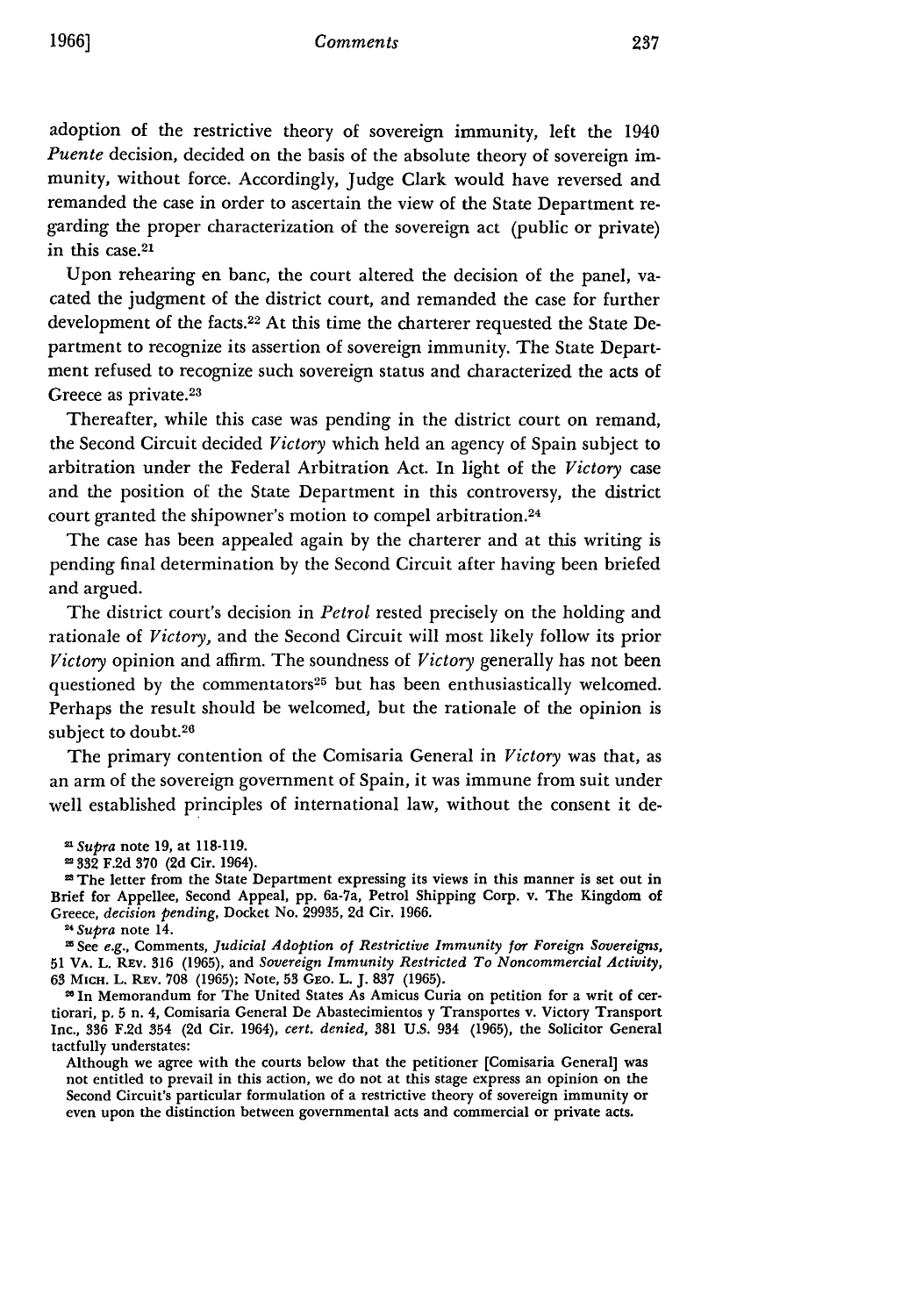adoption of the restrictive theory of sovereign immunity, left the 1940 *Puente* decision, decided on the basis of the absolute theory of sovereign immunity, without force. Accordingly, Judge Clark would have reversed and remanded the case in order to ascertain the view of the State Department regarding the proper characterization of the sovereign act (public or private) in this case. 21

Upon rehearing en banc, the court altered the decision of the panel, vacated the judgment of the district court, and remanded the case for further development of the facts.22 At this time the charterer requested the State Department to recognize its assertion of sovereign immunity. The State Department refused to recognize such sovereign status and characterized the acts of Greece as private.<sup>23</sup>

Thereafter, while this case was pending in the district court on remand, the Second Circuit decided *Victory* which held an agency of Spain subject to arbitration under the Federal Arbitration Act. In light of the *Victory* case and the position of the State Department in this controversy, the district court granted the shipowner's motion to compel arbitration.<sup>24</sup>

The case has been appealed again by the charterer and at this writing is pending final determination by the Second Circuit after having been briefed and argued.

The district court's decision in *Petrol* rested precisely on the holding and rationale of *Victory,* and the Second Circuit will most likely follow its prior *Victory* opinion and affirm. The soundness of *Victory* generally has not been questioned by the commentators<sup>25</sup> but has been enthusiastically welcomed. Perhaps the result should be welcomed, but the rationale of the opinion is subject to doubt.26

The primary contention of the Comisaria General in *Victory* was that, as an arm of the sovereign government of Spain, it was immune from suit under well established principles of international law, without the consent it de-

**"In** Memorandum for The United States As Amicus Curia on petition for a writ of certiorari, *p,* **5** n. 4, Comisaria General De Abastecimientos y Transportes v. Victory Transport Inc., **336** F.2d 354 (2d Cir. 1964), *cert. denied,* **381** U.S. 934 (1965), the Solicitor General tactfully understates:

Although we agree with the courts below that the petitioner [Comisaria General] was not entitled to prevail in this action, we do not at this stage express an opinion on the Second Circuit's particular formulation of a restrictive theory of sovereign immunity or even upon the distinction between governmental acts and commercial or private acts.

<sup>&</sup>lt;sup>21</sup> Supra note 19, at 118-119.

**<sup>332</sup> F.2d 370 (2d** Cir. 1964). 2 The letter from the State Department expressing its views in this manner is set out in Brief for Appellee, Second Appeal, **pp.** 6a-7a, Petrol Shipping Corp. v. The Kingdom of Greece, *decision pending,* Docket No. **29935, 2d** Cir. **1966.**

**<sup>11</sup>** *Supra* note 14.

See *e.g.,* Comments, *Judicial Adoption of Restrictive Immunity for Foreign Sovereigns,* **51** VA. L. REv. **316** (1965), and *Sovereign Immunity Restricted To Noncommercial Activity,* **63** MICH. L. REV. 708 (1965); Note, **53** GEo. L. J. 837 (1965).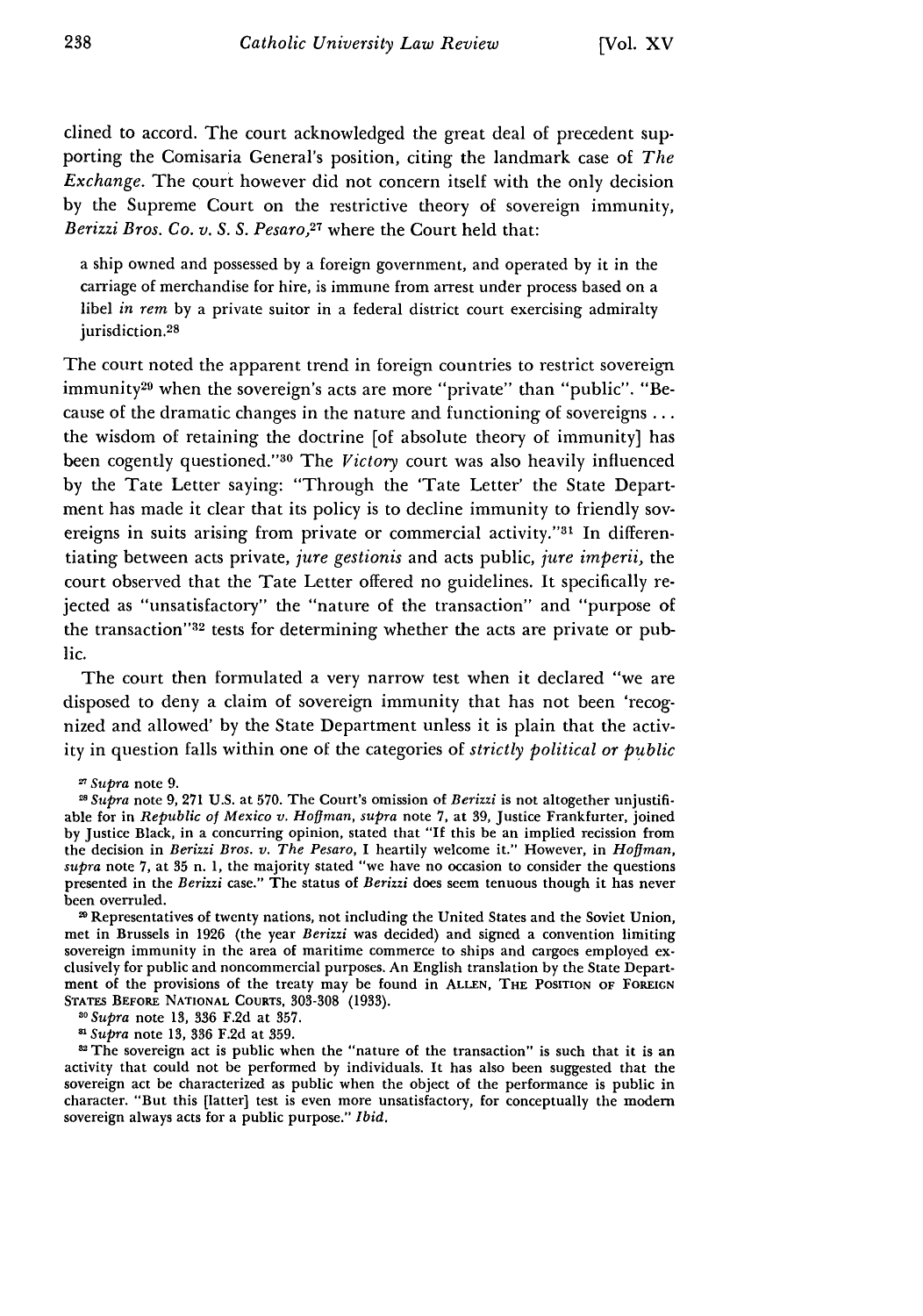clined to accord. The court acknowledged the great deal of precedent supporting the Comisaria General's position, citing the landmark case of *The Exchange.* The court however did not concern itself with the only decision by the Supreme Court on the restrictive theory of sovereign immunity, *Berizzi Bros. Co. v. S. S. Pesaro,27* where the Court held that:

a ship owned and possessed by a foreign government, and operated by it in the carriage of merchandise for hire, is immune from arrest under process based on a libel *in rem* by a private suitor in a federal district court exercising admiralty jurisdiction.<sup>28</sup>

The court noted the apparent trend in foreign countries to restrict sovereign immunity<sup>29</sup> when the sovereign's acts are more "private" than "public". "Because of the dramatic changes in the nature and functioning of sovereigns ... the wisdom of retaining the doctrine [of absolute theory of immunity] has been cogently questioned."<sup>30</sup> The *Victory* court was also heavily influenced **by** the Tate Letter saying: "Through the 'Tate Letter' the State Department has made it clear that its policy is to decline immunity to friendly sovereigns in suits arising from private or commercial activity."<sup>31</sup> In differentiating between acts private, *jure gestionis* and acts public, *jure imperii,* the court observed that the Tate Letter offered no guidelines. It specifically rejected as "unsatisfactory" the "nature of the transaction" and "purpose of the transaction"<sup>32</sup> tests for determining whether the acts are private or public.

The court then formulated a very narrow test when it declared "we are disposed to deny a claim of sovereign immunity that has not been 'recognized and allowed' **by** the State Department unless it is plain that the activity in question falls within one of the categories of *strictly political or public*

20 Representatives of twenty nations, not including the United States and the Soviet Union, met in Brussels in 1926 (the year *Berizzi* was decided) and signed a convention limiting sovereign immunity in the area of maritime commerce to ships and cargoes employed exclusively for public and noncommercial purposes. An English translation by the State Department of the provisions of the treaty may be found in **ALLEN,** THE **POSITION OF FOREIGN STATES BEFORE NATIONAL COURTS,** 303-308 **(1933).** *<sup>3</sup> Supra* **note 13, 336 F.2d** at **357.**

**11** *Supra* note **13, 336 F.2d** at **359.**

<sup>32</sup> The sovereign act is public when the "nature of the transaction" is such that it is an activity that could not be performed by individuals. It has also been suggested that the sovereign act be characterized as public when the object of the performance is public in character. "But this [latter] test is even more unsatisfactory, for conceptually the modem sovereign always acts for a public purpose." *Ibid.*

<sup>27</sup>Supra note 9.

**<sup>11</sup>** *Supra* note 9, 271 U.S. at 570. The Court's omission of *Berizzi* is not altogether unjustifiable for in *Republic of Mexico v. Hoffman, supra* note 7, at 39, Justice Frankfurter, joined by Justice Black, in a concurring opinion, stated that "If this be an implied recission from the decision in *Berizzi Bros. v. The Pesaro,* I heartily welcome it." However, in *Hoffman, supra* note 7, at 35 n. 1, the majority stated "we have no occasion to consider the questions presented in the *Berizzi* case." The status of *Berizzi* does seem tenuous though it has never been overruled.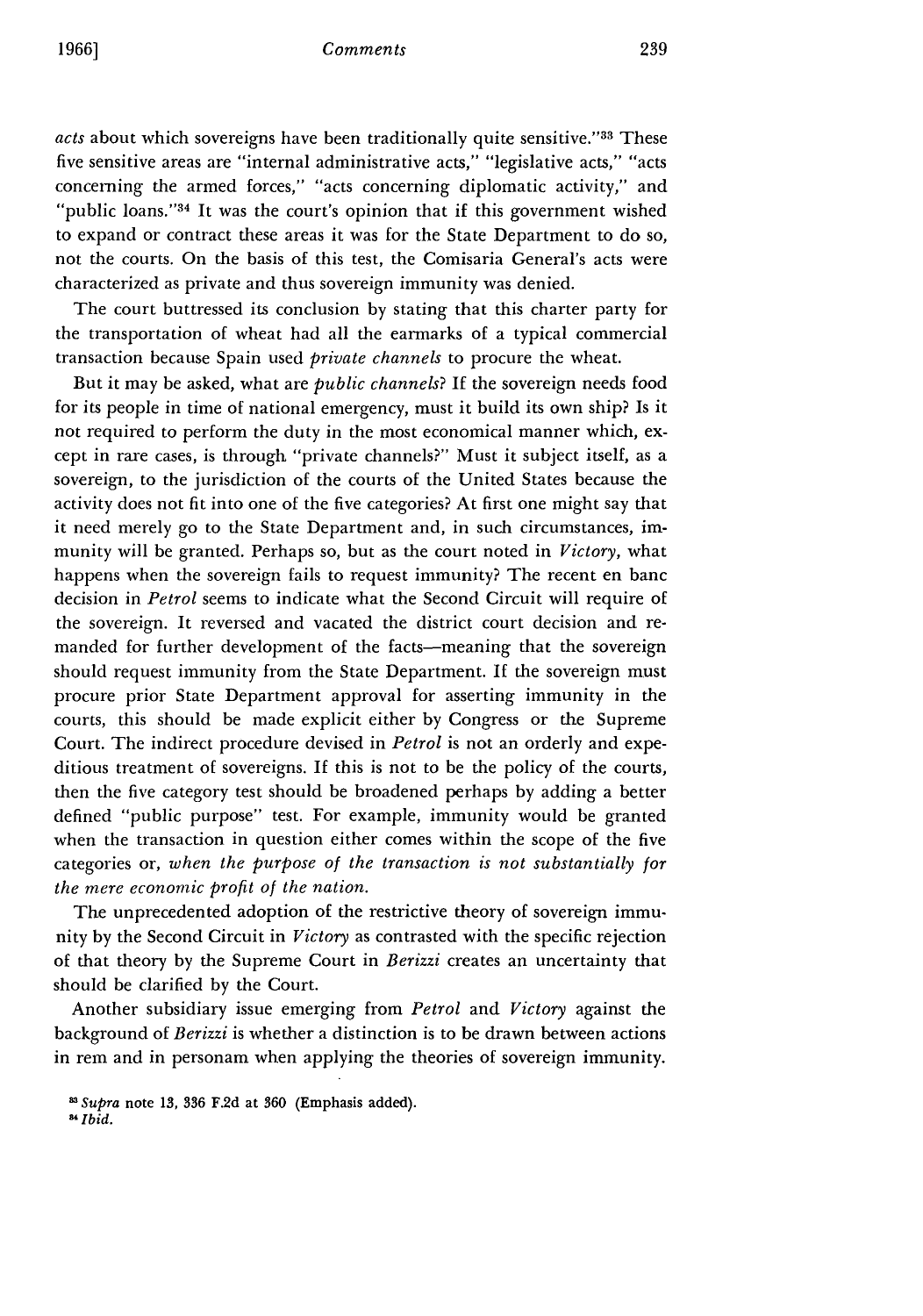#### *Comments*

*acts* about which sovereigns have been traditionally quite sensitive."33 These five sensitive areas are "internal administrative acts," "legislative acts," "acts concerning the armed forces," "acts concerning diplomatic activity," and "public loans." $34$  It was the court's opinion that if this government wished to expand or contract these areas it was for the State Department to do so, not the courts. On the basis of this test, the Comisaria General's acts were characterized as private and thus sovereign immunity was denied.

The court buttressed its conclusion by stating that this charter party for the transportation of wheat had all the earmarks of a typical commercial transaction because Spain used *private channels* to procure the wheat.

But it may be asked, what are *public channels?* If the sovereign needs food for its people in time of national emergency, must it build its own ship? Is it not required to perform the duty in the most economical manner which, except in rare cases, is through "private channels?" Must it subject itself, as a sovereign, to the jurisdiction of the courts of the United States because the activity does not fit into one of the five categories? At first one might say that it need merely go to the State Department and, in such circumstances, immunity will be granted. Perhaps so, but as the court noted in *Victory,* what happens when the sovereign fails to request immunity? The recent en banc decision in *Petrol* seems to indicate what the Second Circuit will require of the sovereign. It reversed and vacated the district court decision and remanded for further development of the facts--meaning that the sovereign should request immunity from the State Department. If the sovereign must procure prior State Department approval for asserting immunity in the courts, this should be made explicit either by Congress or the Supreme Court. The indirect procedure devised in *Petrol* is not an orderly and expeditious treatment of sovereigns. If this is not to be the policy of the courts, then the five category test should be broadened perhaps by adding a better defined "public purpose" test. For example, immunity would be granted when the transaction in question either comes within the scope of the five categories or, *when the purpose of the transaction is not substantially for the mere economic profit of the nation.*

The unprecedented adoption of the restrictive theory of sovereign immunity by the Second Circuit in *Victory* as contrasted with the specific rejection of that theory by the Supreme Court in *Berizzi* creates an uncertainty that should be clarified by the Court.

Another subsidiary issue emerging from *Petrol* and *Victory* against the background of *Berizzi* is whether a distinction is to be drawn between actions in rem and in personam when applying the theories of sovereign immunity.

*Supra* note **13, 336** F.2d at **360** (Emphasis added). *Ibid.*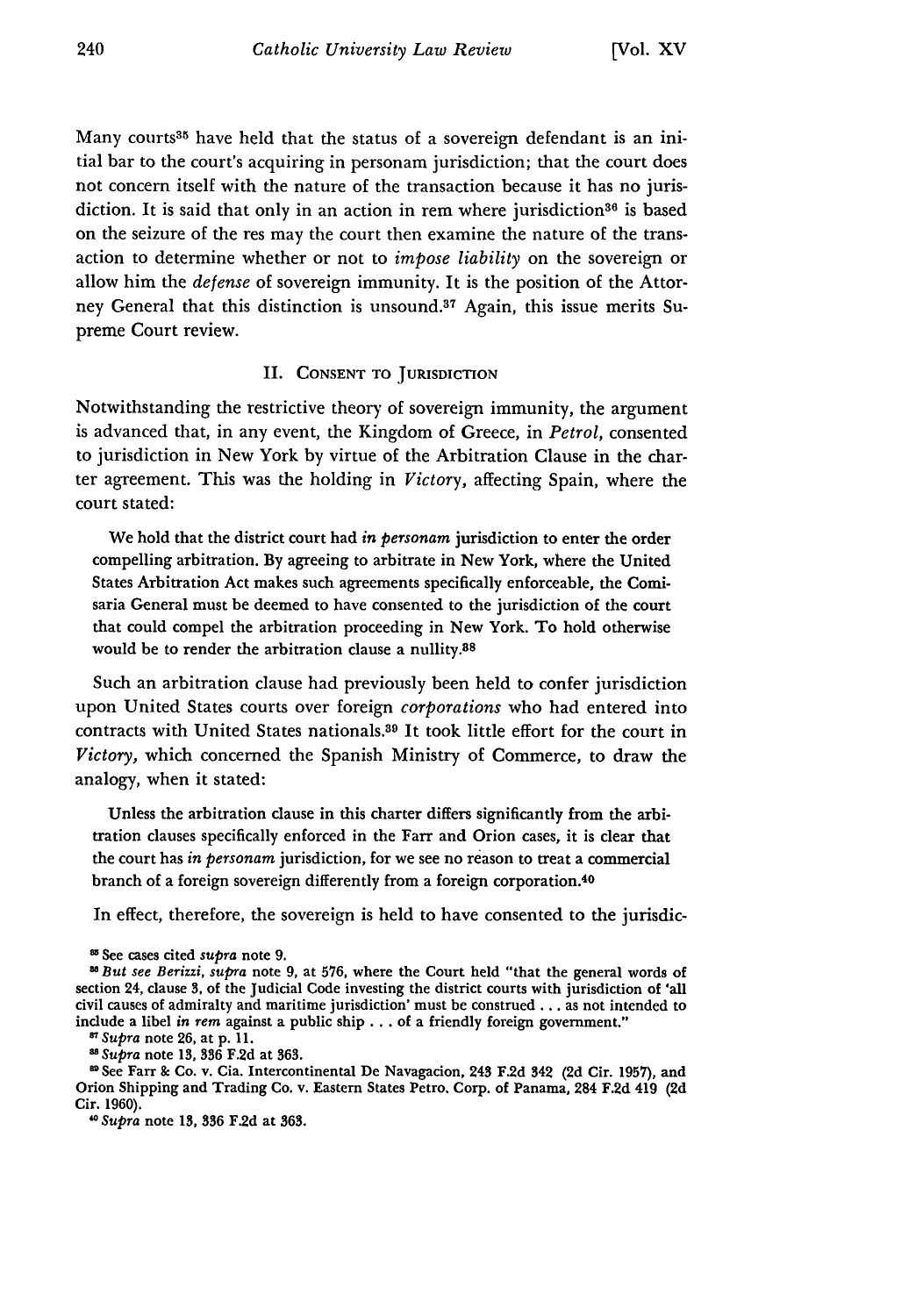Many courts<sup>35</sup> have held that the status of a sovereign defendant is an initial bar to the court's acquiring in personam jurisdiction; that the court does not concern itself with the nature of the transaction because it has no jurisdiction. It is said that only in an action in rem where jurisdiction<sup>36</sup> is based on the seizure of the res may the court then examine the nature of the transaction to determine whether or not to *impose liability* on the sovereign or allow him the *defense* of sovereign immunity. It is the position of the Attorney General that this distinction is unsound.<sup>37</sup> Again, this issue merits Supreme Court review.

### II. **CONSENT** TO JURISDICTION

Notwithstanding the restrictive theory of sovereign immunity, the argument is advanced that, in any event, the Kingdom of Greece, in *Petrol,* consented to jurisdiction in New York by virtue of the Arbitration Clause in the charter agreement. This was the holding in *Victory,* affecting Spain, where the court stated:

We hold that the district court had *in personam* jurisdiction to enter the order compelling arbitration. **By** agreeing to arbitrate in New York, where the United States Arbitration Act makes such agreements specifically enforceable, the Comisaria General must be deemed to have consented to the jurisdiction of the court that could compel the arbitration proceeding in New York. To hold otherwise would be to render the arbitration clause a nullity.<sup>38</sup>

Such an arbitration clause had previously been held to confer jurisdiction upon United States courts over foreign *corporations* who had entered into contracts with United States nationals.8 9 It took little effort for the court in *Victory,* which concerned the Spanish Ministry of Commerce, to draw the analogy, when it stated:

Unless the arbitration clause in this charter differs significantly from the arbitration clauses specifically enforced in the Farr and Orion cases, it is clear that the court has *in personam* jurisdiction, for we see no reason to treat a commercial branch of a foreign sovereign differently from a foreign corporation.<sup>4</sup> 0

In effect, therefore, the sovereign is held to have consented to the jurisdic-

*USupra* note **13, 336 F.2d** at **363.**

<sup>U</sup>See Farr & Co. v. Cia. Intercontinental **De** Navagacion, **243 F.2d 342 (2d** Cir. **1957),** and Orion Shipping and Trading Co. v. Eastern States Petro. Corp. of Panama, 284 **F.2d** 419 **(2d** Cir. **1960).** *<sup>o</sup>Supra* note *13,* **336 F.2d** at **363.**

<sup>U</sup>See cases cited *supra* note **9.**

*<sup>8</sup>But see Berizzi, supra* note **9, at 576, where the Court held "that the general words of** section 24, **clause 3,** of the Judicial Code investing the district courts with jurisdiction of 'all civil causes of admiralty and maritime jurisdiction' must be construed.., as not **intended to** include a libel *in rem* against a public **ship...** of a friendly foreign government." *87Supra* note **26,** at **p. 11.**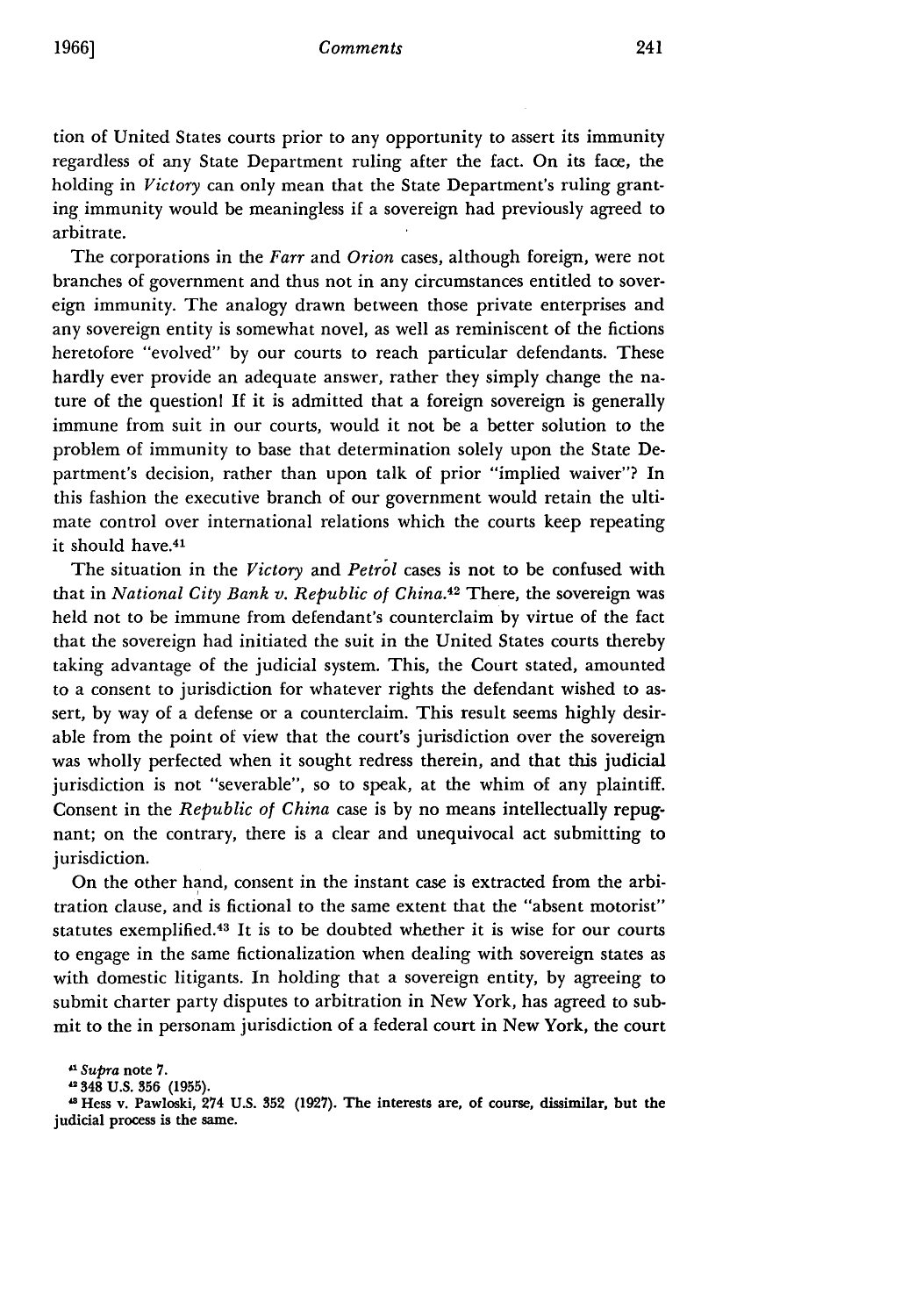tion of United States courts prior to any opportunity to assert its immunity regardless of any State Department ruling after the fact. On its face, the holding in *Victory* can only mean that the State Department's ruling granting immunity would be meaningless if a sovereign had previously agreed to arbitrate.

The corporations in the *Farr* and *Orion* cases, although foreign, were not branches of government and thus not in any circumstances entitled to sovereign immunity. The analogy drawn between those private enterprises and any sovereign entity is somewhat novel, as well as reminiscent of the fictions heretofore "evolved" by our courts to reach particular defendants. These hardly ever provide an adequate answer, rather they simply change the nature of the questionl If it is admitted that a foreign sovereign is generally immune from suit in our courts, would it not be a better solution to the problem of immunity to base that determination solely upon the State Department's decision, rather than upon talk of prior "implied waiver"? In this fashion the executive branch of our government would retain the ultimate control over international relations which the courts keep repeating it should have.41

The situation in the *Victory and Petrol* cases is not to be confused with that in *National City Bank v. Republic of China.42* There, the sovereign was held not to be immune from defendant's counterclaim by virtue of the fact that the sovereign had initiated the suit in the United States courts thereby taking advantage of the judicial system. This, the Court stated, amounted to a consent to jurisdiction for whatever rights the defendant wished to assert, by way of a defense or a counterclaim. This result seems highly desirable from the point of view that the court's jurisdiction over the sovereign was wholly perfected when it sought redress therein, and that this judicial jurisdiction is not "severable", so to speak, at the whim of any plaintiff. Consent in the *Republic of China* case is by no means intellectually repugnant; on the contrary, there is a clear and unequivocal act submitting to jurisdiction.

On the other hand, consent in the instant case is extracted from the arbitration clause, and is fictional to the same extent that the "absent motorist" statutes exemplified.<sup>43</sup> It is to be doubted whether it is wise for our courts to engage in the same fictionalization when dealing with sovereign states as with domestic litigants. In holding that a sovereign entity, by agreeing to submit charter party disputes to arbitration in New York, has agreed to submit to the in personam jurisdiction of a federal court in New York, the court

**348 U.S. 356 (1955).**

**,8 Hess v. Pawloski, 274 U.S. 352 (1927). The interests are, of course, dissimilar, but the judicial process is the same.**

*Sa supra* note **7.**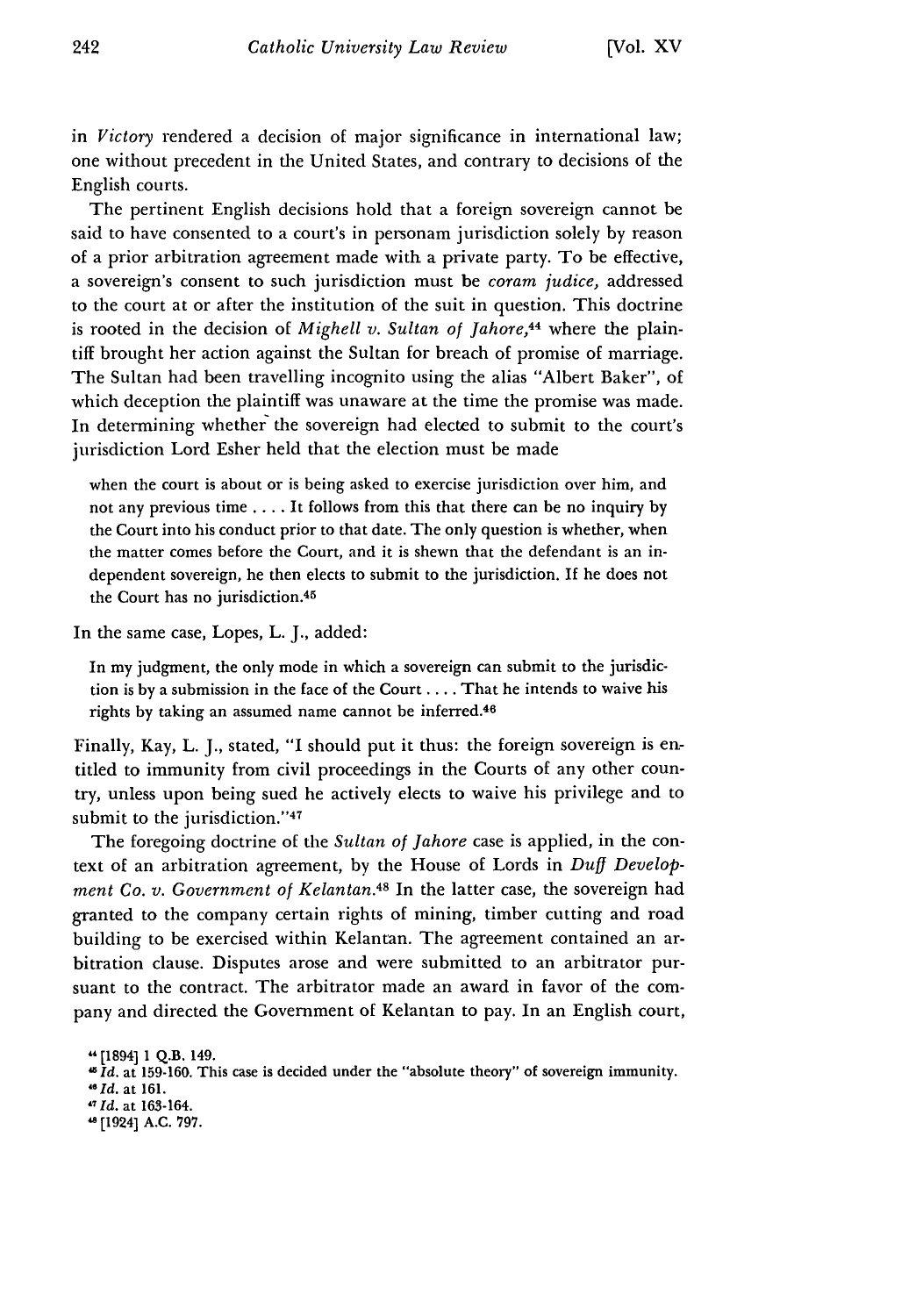in *Victory* rendered a decision of major significance in international law; one without precedent in the United States, and contrary to decisions of the English courts.

The pertinent English decisions hold that a foreign sovereign cannot be said to have consented to a court's in personam jurisdiction solely by reason of a prior arbitration agreement made with a private party. To be effective, a sovereign's consent to such jurisdiction must be *coram judice,* addressed to the court at or after the institution of the suit in question. This doctrine is rooted in the decision of *Mighell v. Sultan of Jahore,44* where the plaintiff brought her action against the Sultan for breach of promise of marriage. The Sultan had been travelling incognito using the alias "Albert Baker", of which deception the plaintiff was unaware at the time the promise was made. In determining whether the sovereign had elected to submit to the court's jurisdiction Lord Esher held that the election must be made

when the court is about or is being asked to exercise jurisdiction over him, and not any previous time .... It follows from this that there can be no inquiry **by** the Court into his conduct prior to that date. The only question is whether, when the matter comes before the Court, and it is shewn that the defendant is an independent sovereign, he then elects to submit to the jurisdiction. If he does not the Court has no jurisdiction.<sup>45</sup>

In the same case, Lopes, L. J., added:

In my judgment, the only mode in which a sovereign can submit to the jurisdiction is **by** a submission in the face of the Court **....** That he intends to waive his rights by taking an assumed name cannot be inferred.<sup>46</sup>

Finally, Kay, L. J., stated, "I should put it thus: the foreign sovereign is entitled to immunity from civil proceedings in the Courts of any other country, unless upon being sued he actively elects to waive his privilege and to submit to the jurisdiction."<sup>47</sup>

The foregoing doctrine of the *Sultan of Jahore* case is applied, in the context of an arbitration agreement, by the House of Lords in *Duff Development Co. v. Government of Kelantan.48* In the latter case, the sovereign had granted to the company certain rights of mining, timber cutting and road building to be exercised within Kelantan. The agreement contained an arbitration clause. Disputes arose and were submitted to an arbitrator pursuant to the contract. The arbitrator made an award in favor of the company and directed the Government of Kelantan to pay. In an English court,

**<sup>-[1894] 1</sup> Q.B. 149.**

**<sup>15</sup>***Id.* at **159-160.** This case is decided under the "absolute theory" of sovereign immunity. **<sup>4</sup>**

**<sup>6</sup>d.** at **161.**

*<sup>&#</sup>x27;7Id.* at 163-164.

**<sup>8</sup>** [1924] **A.C. 797.**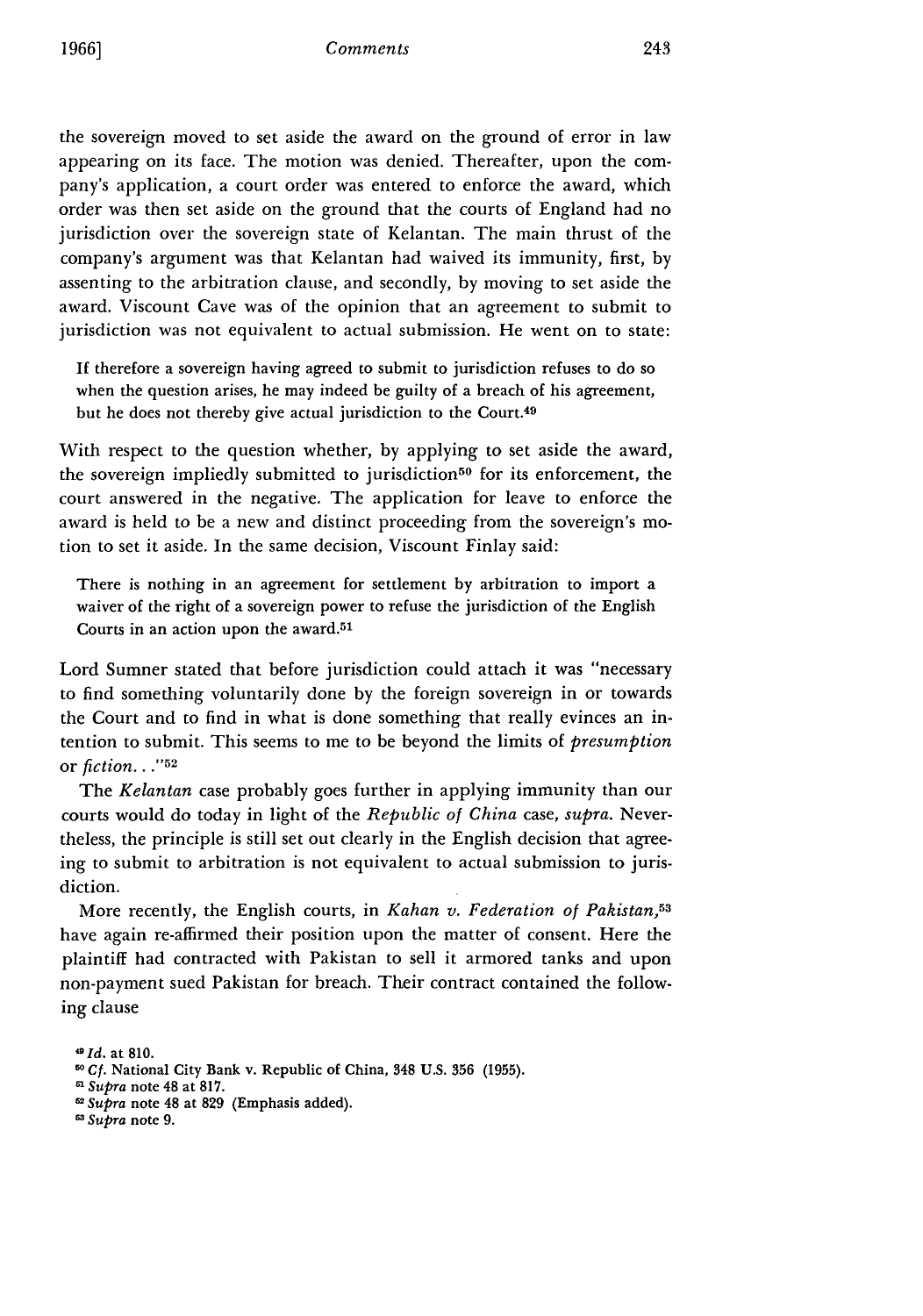the sovereign moved to set aside the award on the ground of error in law appearing on its face. The motion was denied. Thereafter, upon the company's application, a court order was entered to enforce the award, which order was then set aside on the ground that the courts of England had no jurisdiction over the sovereign state of Kelantan. The main thrust of the company's argument was that Kelantan had waived its immunity, first, by assenting to the arbitration clause, and secondly, by moving to set aside the award. Viscount Cave was of the opinion that an agreement to submit to jurisdiction was not equivalent to actual submission. He went on to state:

If therefore a sovereign having agreed to submit to jurisdiction refuses to do so when the question arises, he may indeed be guilty of a breach of his agreement, but he does not thereby give actual jurisdiction to the Court.<sup>49</sup>

With respect to the question whether, by applying to set aside the award, the sovereign impliedly submitted to jurisdiction<sup>50</sup> for its enforcement, the court answered in the negative. The application for leave to enforce the award is held to be a new and distinct proceeding from the sovereign's motion to set it aside. In the same decision, Viscount Finlay said:

There is nothing in an agreement for settlement by arbitration to import a waiver of the right of a sovereign power to refuse the jurisdiction of the English Courts in an action upon the award.<sup>51</sup>

Lord Sumner stated that before jurisdiction could attach it was "necessary to find something voluntarily done by the foreign sovereign in or towards the Court and to find in what is done something that really evinces an intention to submit. This seems to me to be beyond the limits of *presumption* or *fiction..* **.'52**

The *Kelantan* case probably goes further in applying immunity than our courts would do today in light of the *Republic of China* case, *supra.* Nevertheless, the principle is still set out clearly in the English decision that agreeing to submit to arbitration is not equivalent to actual submission to jurisdiction.

More recently, the English courts, in *Kahan v. Federation of Pakistan,5 <sup>3</sup>* have again re-affirmed their position upon the matter of consent. Here the plaintiff had contracted with Pakistan to sell it armored tanks and upon non-payment sued Pakistan for breach. Their contract contained the following clause

**dId. at 810.**

**<sup>50</sup>** *Cf.* National City Bank v. Republic **of** China, 348 **U.S. 356 (1955).**

*<sup>1</sup> Supra* note 48 at **817.**

**<sup>5</sup>***Supra* note 48 at **829** (Emphasis added). *<sup>0</sup>*Supra note **9.**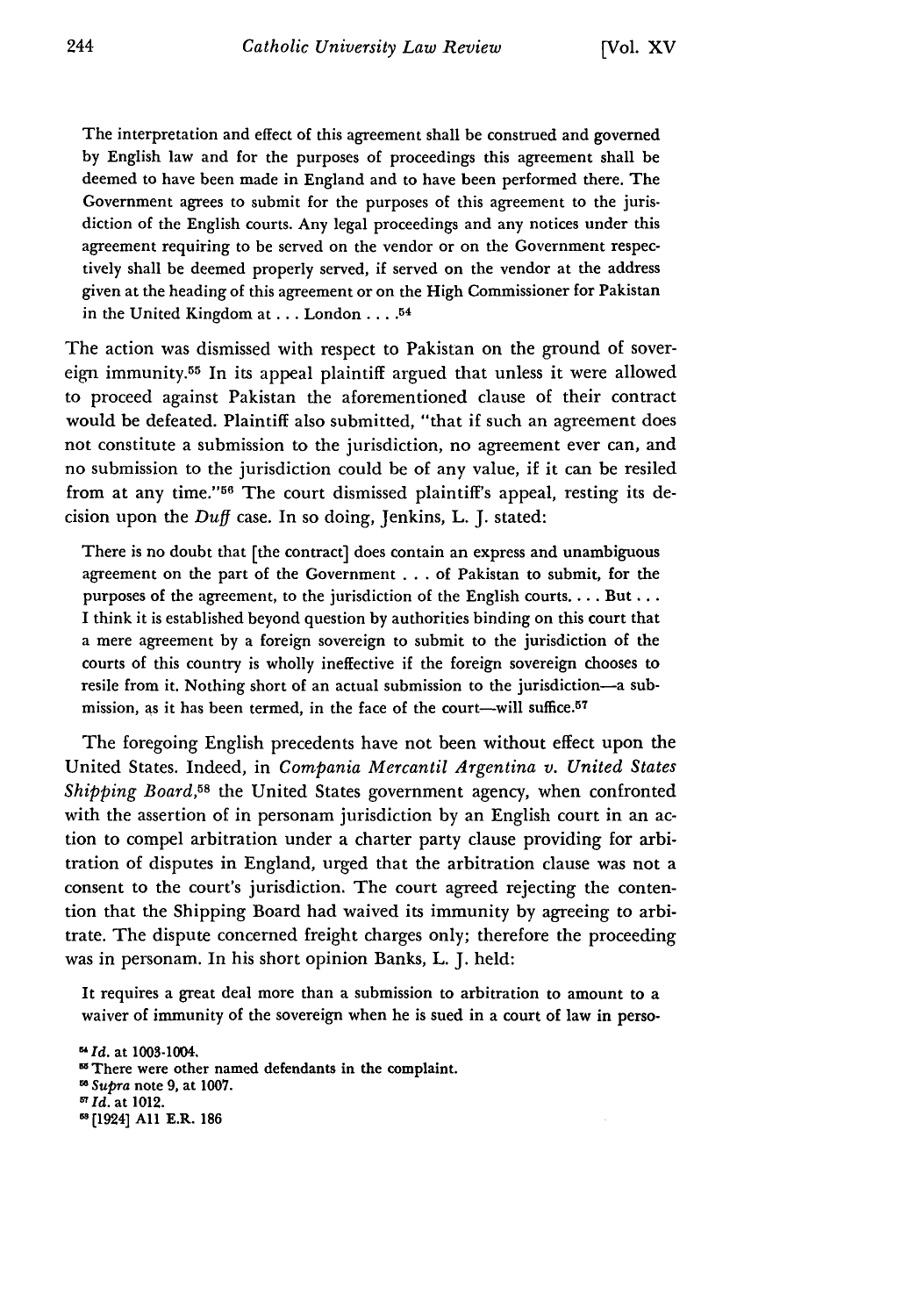The interpretation and effect of this agreement shall be construed and governed by English law and for the purposes of proceedings this agreement shall be deemed to have been made in England and to have been performed there. The Government agrees to submit for the purposes of this agreement to the jurisdiction of the English courts. Any legal proceedings and any notices under this agreement requiring to be served on the vendor or on the Government respectively shall be deemed properly served, if served on the vendor at the address given at the heading of this agreement or on the High Commissioner for Pakistan in the United Kingdom at... London. **....** <sup>54</sup>

The action was dismissed with respect to Pakistan on the ground of sovereign immunity.55 In its appeal plaintiff argued that unless it were allowed to proceed against Pakistan the aforementioned clause of their contract would be defeated. Plaintiff also submitted, "that if such an agreement does not constitute a submission to the jurisdiction, no agreement ever can, and no submission to the jurisdiction could be of any value, if it can be resiled from at any time."<sup>56</sup> The court dismissed plaintiff's appeal, resting its decision upon the *Duff* case. In so doing, Jenkins, L. J. stated:

There is no doubt that [the contract] does contain an express and unambiguous agreement on the part of the Government ... of Pakistan to submit, for the purposes of the agreement, to the jurisdiction of the English courts.... But... I think it is established beyond question by authorities binding on this court that a mere agreement by a foreign sovereign to submit to the jurisdiction of the courts of this country is wholly ineffective if the foreign sovereign chooses to resile from it. Nothing short of an actual submission to the jurisdiction-a submission, as it has been termed, in the face of the court-will suffice.<sup>57</sup>

The foregoing English precedents have not been without effect upon the United States. Indeed, in *Compania Mercantil Argentina v. United States Shipping Board*,<sup>58</sup> the United States government agency, when confronted with the assertion of in personam jurisdiction by an English court in an action to compel arbitration under a charter party clause providing for arbitration of disputes in England, urged that the arbitration clause was not a consent to the court's jurisdiction. The court agreed rejecting the contention that the Shipping Board had waived its immunity by agreeing to arbitrate. The dispute concerned freight charges only; therefore the proceeding was in personam. In his short opinion Banks, L. J. held:

It requires a great deal more than a submission to arbitration to amount to a waiver of immunity of the sovereign when he is sued in a court of law in perso-

*<sup>5</sup> 1Id.* at 1003-1004. <sup>55</sup> There were other named defendants in the complaint. **w** *Supra* note 9, at **1007.**  $^{57}$  Id. at 1012. <sup>58</sup>[1924] All E.R. 186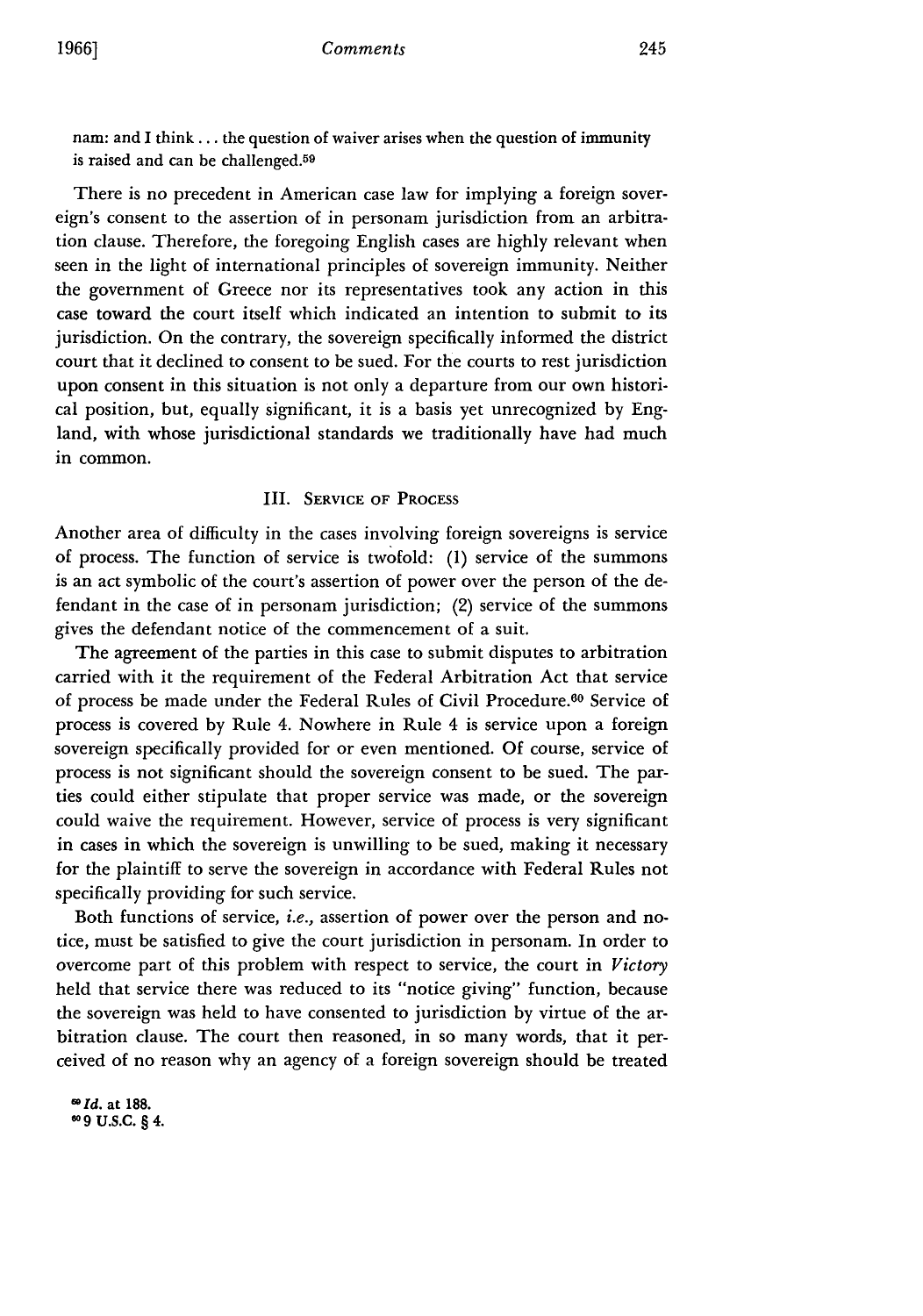nam: and I think.., the question of waiver arises when the question of immunity is raised and can be challenged.<sup>59</sup>

There is no precedent in American case law for implying a foreign sovereign's consent to the assertion of in personam jurisdiction from an arbitration clause. Therefore, the foregoing English cases are highly relevant when seen in the light of international principles of sovereign immunity. Neither the government of Greece nor its representatives took any action in this case toward the court itself which indicated an intention to submit to its jurisdiction. On the contrary, the sovereign specifically informed the district court that it declined to consent to be sued. For the courts to rest jurisdiction upon consent in this situation is not only a departure from our own historical position, but, equally significant, it is a basis yet unrecognized by England, with whose jurisdictional standards we traditionally have had much in common.

#### III. SERVICE OF **PROCESS**

Another area of difficulty in the cases involving foreign sovereigns is service of process. The function of service is twofold: **(1)** service of the summons is an act symbolic of the court's assertion of power over the person of the defendant in the case of in personam jurisdiction; (2) service of the summons gives the defendant notice of the commencement of a suit.

The agreement of the parties in this case to submit disputes to arbitration carried with it the requirement of the Federal Arbitration Act that service of process be made under the Federal Rules of Civil Procedure.<sup>60</sup> Service of process is covered by Rule 4. Nowhere in Rule 4 is service upon a foreign sovereign specifically provided for or even mentioned. **Of** course, service of process is not significant should the sovereign consent to be sued. The parties could either stipulate that proper service was made, or the sovereign could waive the requirement. However, service of process is very significant in cases in which the sovereign is unwilling to be sued, making it necessary for the plaintiff to serve the sovereign in accordance with Federal Rules not specifically providing for such service.

Both functions of service, i.e., assertion of power over the person and notice, must be satisfied to give the court jurisdiction in personam. In order to overcome part of this problem with respect to service, the court in *Victory* held that service there was reduced to its "notice giving" function, because the sovereign was held to have consented to jurisdiction by virtue of the arbitration clause. The court then reasoned, in so many words, that it perceived of no reason why an agency of a foreign sovereign should be treated

*id.* at **188. 9 U.S.C. § 4.**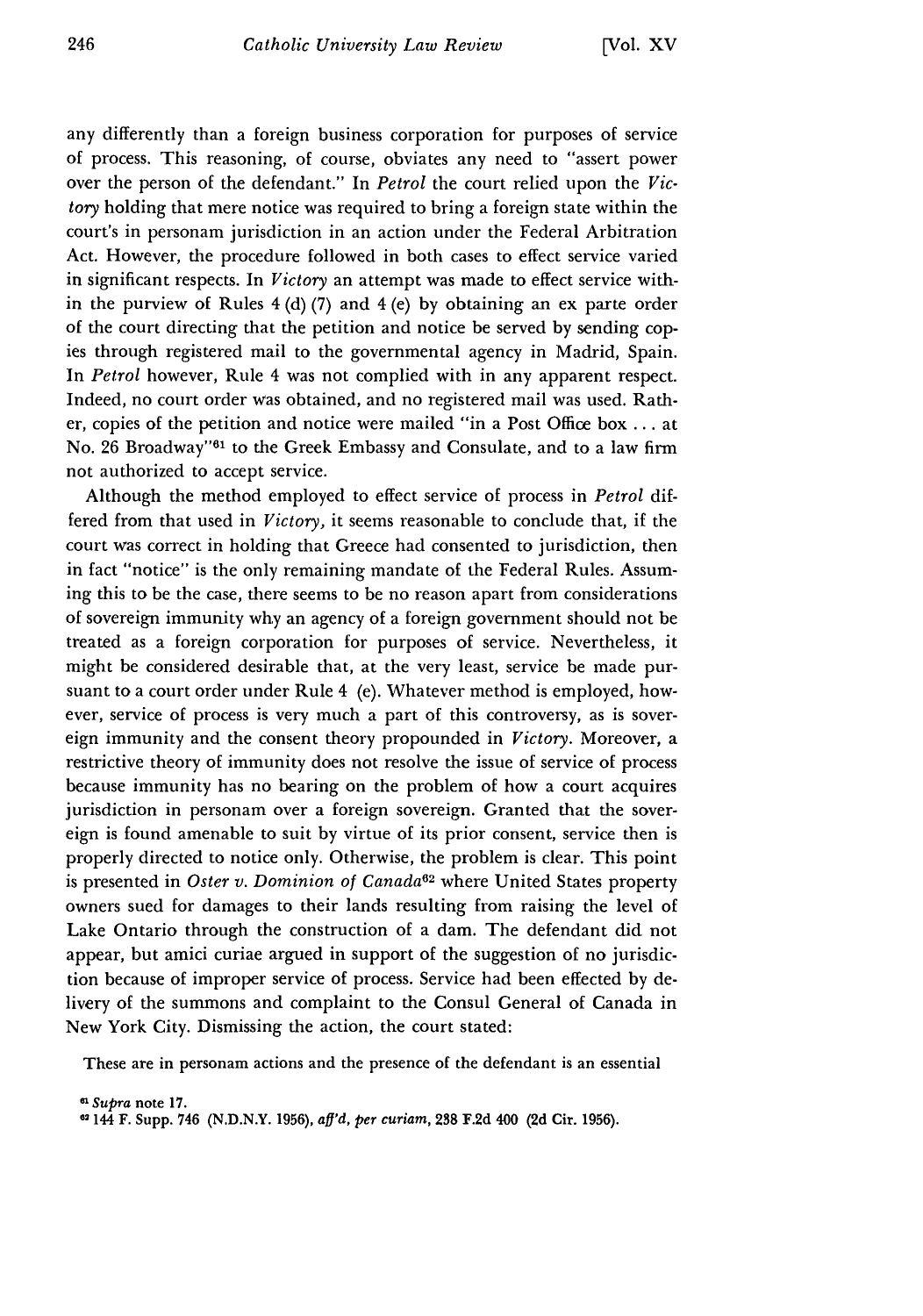any differently than a foreign business corporation for purposes of service of process. This reasoning, of course, obviates any need to "assert power over the person of the defendant." In *Petrol* the court relied upon the *Victory* holding that mere notice was required to bring a foreign state within the court's in personam jurisdiction in an action under the Federal Arbitration Act. However, the procedure followed in both cases to effect service varied in significant respects. In *Victory* an attempt was made to effect service within the purview of Rules  $4(d)(7)$  and  $4(e)$  by obtaining an ex parte order of the court directing that the petition and notice be served by sending copies through registered mail to the governmental agency in Madrid, Spain. In *Petrol* however, Rule 4 was not complied with in any apparent respect. Indeed, no court order was obtained, and no registered mail was used. Rather, copies of the petition and notice were mailed "in a Post Office box ... at No. 26 Broadway"<sup>61</sup> to the Greek Embassy and Consulate, and to a law firm not authorized to accept service.

Although the method employed to effect service of process in *Petrol* differed from that used in *Victory,* it seems reasonable to conclude that, if the court was correct in holding that Greece had consented to jurisdiction, then in fact "notice" is the only remaining mandate of the Federal Rules. Assuming this to be the case, there seems to be no reason apart from considerations of sovereign immunity why an agency of a foreign government should not be treated as a foreign corporation for purposes of service. Nevertheless, it might be considered desirable that, at the very least, service be made pursuant to a court order under Rule 4 (e). Whatever method is employed, however, service of process is very much a part of this controversy, as is sovereign immunity and the consent theory propounded in *Victory.* Moreover, a restrictive theory of immunity does not resolve the issue of service of process because immunity has no bearing on the problem of how a court acquires jurisdiction in personam over a foreign sovereign. Granted that the sovereign is found amenable to suit by virtue of its prior consent, service then is properly directed to notice only. Otherwise, the problem is clear. This point is presented in Oster v. Dominion of Canada<sup>62</sup> where United States property owners sued for damages to their lands resulting from raising the level of Lake Ontario through the construction of a dam. The defendant did not appear, but amici curiae argued in support of the suggestion of no jurisdiction because of improper service of process. Service had been effected by delivery of the summons and complaint to the Consul General of Canada in New York City. Dismissing the action, the court stated:

These are in personam actions and the presence of the defendant is an essential

*e1Supra* **note 17.**

**<sup>62</sup>**144 F. Supp. 746 **(N.D.N.Y. 1956),** *aff'd, per curiam,* **238 F.2d 400 (2d** Cir. **1956).**